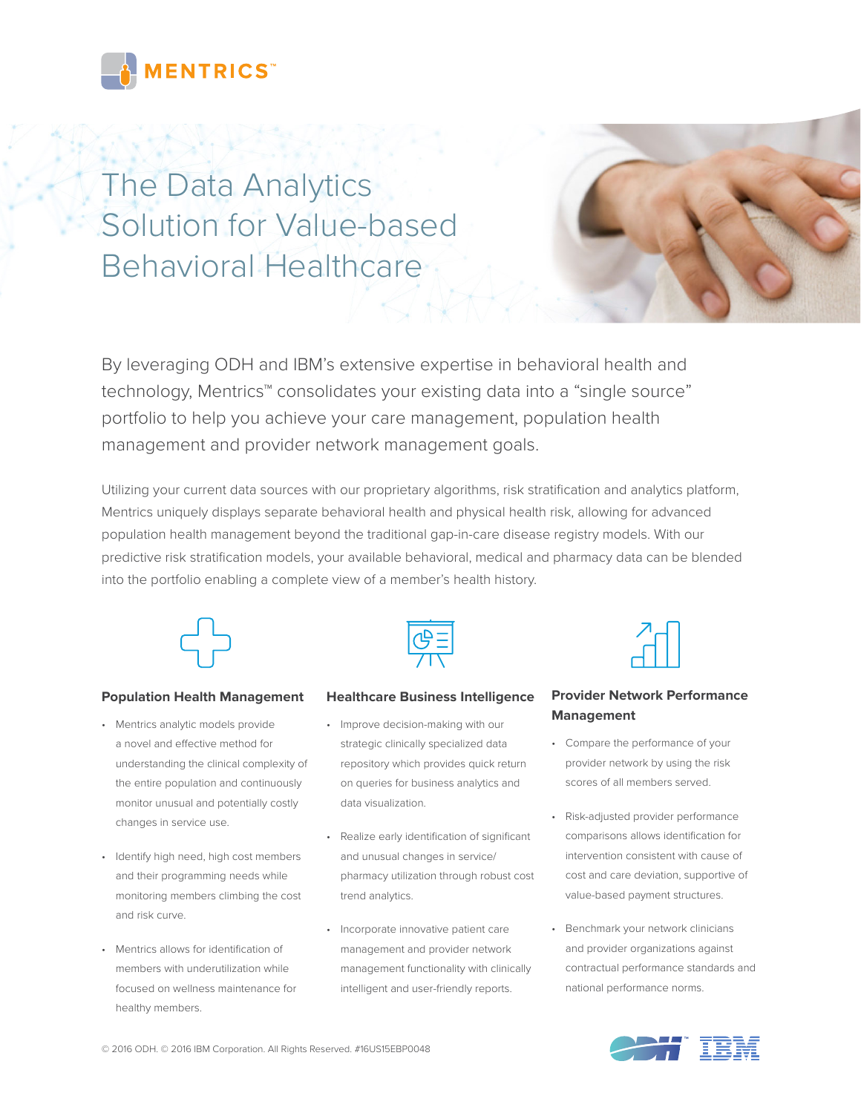

# The Data Analytics Solution for Value-based Behavioral Healthcare



By leveraging ODH and IBM's extensive expertise in behavioral health and technology, Mentrics<sup>™</sup> consolidates your existing data into a "single source" portfolio to help you achieve your care management, population health management and provider network management goals.

Utilizing your current data sources with our proprietary algorithms, risk stratification and analytics platform, Mentrics uniquely displays separate behavioral health and physical health risk, allowing for advanced population health management beyond the traditional gap-in-care disease registry models. With our predictive risk stratification models, your available behavioral, medical and pharmacy data can be blended into the portfolio enabling a complete view of a member's health history.



### **Population Health Management**

- Mentrics analytic models provide a novel and effective method for understanding the clinical complexity of the entire population and continuously monitor unusual and potentially costly changes in service use.
- Identify high need, high cost members and their programming needs while monitoring members climbing the cost and risk curve.
- Mentrics allows for identification of members with underutilization while focused on wellness maintenance for healthy members.



#### **Healthcare Business Intelligence**

- Improve decision-making with our strategic clinically specialized data repository which provides quick return on queries for business analytics and data visualization.
- Realize early identification of significant and unusual changes in service/ pharmacy utilization through robust cost trend analytics.
- Incorporate innovative patient care management and provider network management functionality with clinically intelligent and user-friendly reports.



## **Provider Network Performance Management**

- Compare the performance of your provider network by using the risk scores of all members served.
- Risk-adjusted provider performance comparisons allows identification for intervention consistent with cause of cost and care deviation, supportive of value-based payment structures.
- Benchmark your network clinicians and provider organizations against contractual performance standards and national performance norms.